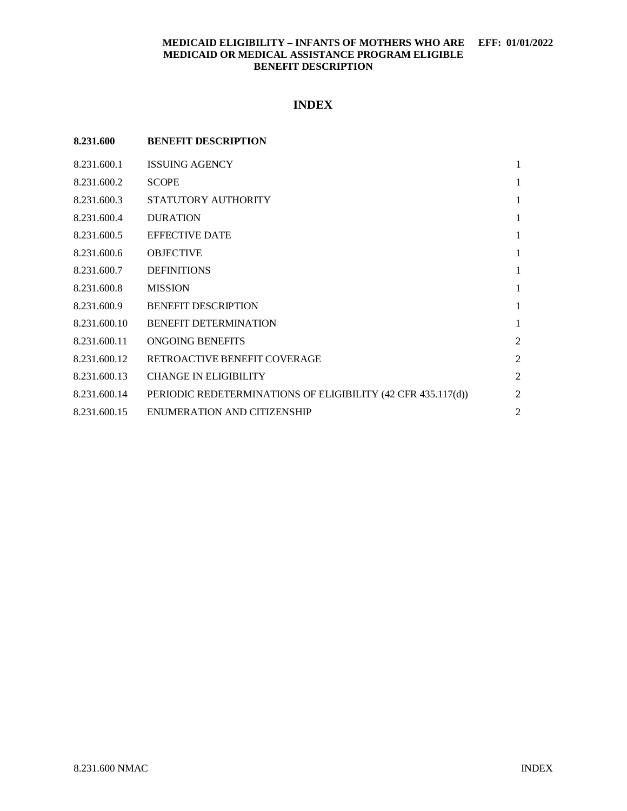# **MEDICAID ELIGIBILITY – INFANTS OF MOTHERS WHO ARE EFF: 01/01/2022 MEDICAID OR MEDICAL ASSISTANCE PROGRAM ELIGIBLE BENEFIT DESCRIPTION**

# **INDEX**

| 8.231.600    | <b>BENEFIT DESCRIPTION</b>                                   |                |
|--------------|--------------------------------------------------------------|----------------|
| 8.231.600.1  | <b>ISSUING AGENCY</b>                                        | $\mathbf{1}$   |
| 8.231.600.2  | <b>SCOPE</b>                                                 | $\mathbf{1}$   |
| 8.231.600.3  | STATUTORY AUTHORITY                                          | $\mathbf{1}$   |
| 8.231.600.4  | <b>DURATION</b>                                              | $\mathbf{1}$   |
| 8.231.600.5  | <b>EFFECTIVE DATE</b>                                        | $\mathbf{1}$   |
| 8.231.600.6  | <b>OBJECTIVE</b>                                             | $\mathbf{1}$   |
| 8.231.600.7  | <b>DEFINITIONS</b>                                           | $\mathbf{1}$   |
| 8.231.600.8  | <b>MISSION</b>                                               | $\mathbf{1}$   |
| 8.231.600.9  | <b>BENEFIT DESCRIPTION</b>                                   | $\mathbf{1}$   |
| 8.231.600.10 | <b>BENEFIT DETERMINATION</b>                                 | $\mathbf{1}$   |
| 8.231.600.11 | <b>ONGOING BENEFITS</b>                                      | $\overline{2}$ |
| 8.231.600.12 | RETROACTIVE BENEFIT COVERAGE                                 | $\overline{2}$ |
| 8.231.600.13 | <b>CHANGE IN ELIGIBILITY</b>                                 | $\overline{2}$ |
| 8.231.600.14 | PERIODIC REDETERMINATIONS OF ELIGIBILITY (42 CFR 435.117(d)) | $\overline{2}$ |
| 8.231.600.15 | ENUMERATION AND CITIZENSHIP                                  | 2              |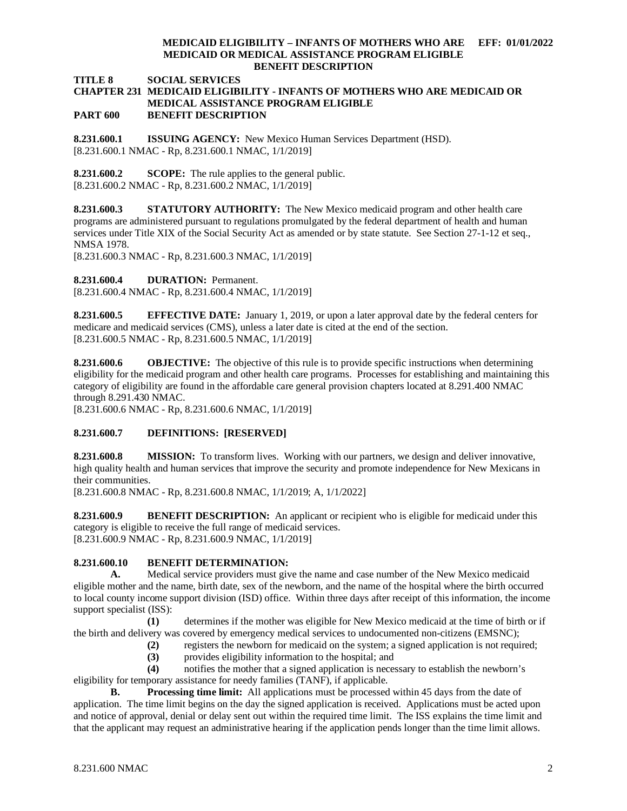#### **MEDICAID ELIGIBILITY – INFANTS OF MOTHERS WHO ARE EFF: 01/01/2022 MEDICAID OR MEDICAL ASSISTANCE PROGRAM ELIGIBLE BENEFIT DESCRIPTION**

**TITLE 8 SOCIAL SERVICES**

#### **CHAPTER 231 MEDICAID ELIGIBILITY - INFANTS OF MOTHERS WHO ARE MEDICAID OR MEDICAL ASSISTANCE PROGRAM ELIGIBLE PART 600 BENEFIT DESCRIPTION**

<span id="page-1-0"></span>**8.231.600.1 ISSUING AGENCY:** New Mexico Human Services Department (HSD). [8.231.600.1 NMAC - Rp, 8.231.600.1 NMAC, 1/1/2019]

<span id="page-1-1"></span>**8.231.600.2 SCOPE:** The rule applies to the general public. [8.231.600.2 NMAC - Rp, 8.231.600.2 NMAC, 1/1/2019]

<span id="page-1-2"></span>**8.231.600.3 STATUTORY AUTHORITY:** The New Mexico medicaid program and other health care programs are administered pursuant to regulations promulgated by the federal department of health and human services under Title XIX of the Social Security Act as amended or by state statute. See Section 27-1-12 et seq., NMSA 1978.

[8.231.600.3 NMAC - Rp, 8.231.600.3 NMAC, 1/1/2019]

<span id="page-1-3"></span>**8.231.600.4 DURATION:** Permanent.

[8.231.600.4 NMAC - Rp, 8.231.600.4 NMAC, 1/1/2019]

<span id="page-1-4"></span>**8.231.600.5 EFFECTIVE DATE:** January 1, 2019, or upon a later approval date by the federal centers for medicare and medicaid services (CMS), unless a later date is cited at the end of the section. [8.231.600.5 NMAC - Rp, 8.231.600.5 NMAC, 1/1/2019]

<span id="page-1-5"></span>**8.231.600.6 OBJECTIVE:** The objective of this rule is to provide specific instructions when determining eligibility for the medicaid program and other health care programs. Processes for establishing and maintaining this category of eligibility are found in the affordable care general provision chapters located at 8.291.400 NMAC through 8.291.430 NMAC.

[8.231.600.6 NMAC - Rp, 8.231.600.6 NMAC, 1/1/2019]

# <span id="page-1-6"></span>**8.231.600.7 DEFINITIONS: [RESERVED]**

<span id="page-1-7"></span>**8.231.600.8 MISSION:** To transform lives. Working with our partners, we design and deliver innovative, high quality health and human services that improve the security and promote independence for New Mexicans in their communities.

[8.231.600.8 NMAC - Rp, 8.231.600.8 NMAC, 1/1/2019; A, 1/1/2022]

<span id="page-1-8"></span>**8.231.600.9 BENEFIT DESCRIPTION:** An applicant or recipient who is eligible for medicaid under this category is eligible to receive the full range of medicaid services. [8.231.600.9 NMAC - Rp, 8.231.600.9 NMAC, 1/1/2019]

# <span id="page-1-9"></span>**8.231.600.10 BENEFIT DETERMINATION:**

**A.** Medical service providers must give the name and case number of the New Mexico medicaid eligible mother and the name, birth date, sex of the newborn, and the name of the hospital where the birth occurred to local county income support division (ISD) office. Within three days after receipt of this information, the income support specialist (ISS):

**(1)** determines if the mother was eligible for New Mexico medicaid at the time of birth or if the birth and delivery was covered by emergency medical services to undocumented non-citizens (EMSNC);

- **(2)** registers the newborn for medicaid on the system; a signed application is not required;
- **(3)** provides eligibility information to the hospital; and

**(4)** notifies the mother that a signed application is necessary to establish the newborn's eligibility for temporary assistance for needy families (TANF), if applicable.

**B. Processing time limit:** All applications must be processed within 45 days from the date of application. The time limit begins on the day the signed application is received. Applications must be acted upon and notice of approval, denial or delay sent out within the required time limit. The ISS explains the time limit and that the applicant may request an administrative hearing if the application pends longer than the time limit allows.